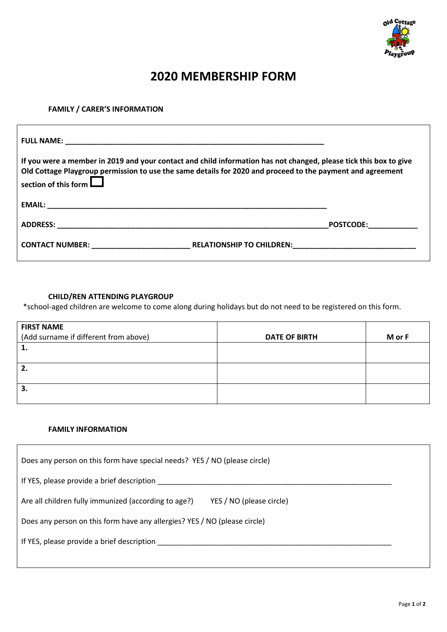

# **2020 MEMBERSHIP FORM**

## **FAMILY / CARER'S INFORMATION**

| If you were a member in 2019 and your contact and child information has not changed, please tick this box to give<br>Old Cottage Playgroup permission to use the same details for 2020 and proceed to the payment and agreement<br>section of this form $\square$ |                  |  |  |  |
|-------------------------------------------------------------------------------------------------------------------------------------------------------------------------------------------------------------------------------------------------------------------|------------------|--|--|--|
|                                                                                                                                                                                                                                                                   |                  |  |  |  |
|                                                                                                                                                                                                                                                                   | <b>POSTCODE:</b> |  |  |  |
|                                                                                                                                                                                                                                                                   |                  |  |  |  |

## **CHILD/REN ATTENDING PLAYGROUP**

\*school-aged children are welcome to come along during holidays but do not need to be registered on this form.

| <b>FIRST NAME</b>                     |                      |        |
|---------------------------------------|----------------------|--------|
| (Add surname if different from above) | <b>DATE OF BIRTH</b> | M or F |
| ι.                                    |                      |        |
|                                       |                      |        |
| 2.                                    |                      |        |
|                                       |                      |        |
| З.                                    |                      |        |
|                                       |                      |        |

#### **FAMILY INFORMATION**

| Does any person on this form have special needs? YES / NO (please circle)                                                                                                                                                      |                          |  |  |  |
|--------------------------------------------------------------------------------------------------------------------------------------------------------------------------------------------------------------------------------|--------------------------|--|--|--|
| If YES, please provide a brief description                                                                                                                                                                                     |                          |  |  |  |
| Are all children fully immunized (according to age?)                                                                                                                                                                           | YES / NO (please circle) |  |  |  |
| Does any person on this form have any allergies? YES / NO (please circle)                                                                                                                                                      |                          |  |  |  |
| If YES, please provide a brief description example and a series of the series of the series of the series of the series of the series of the series of the series of the series of the series of the series of the series of t |                          |  |  |  |
|                                                                                                                                                                                                                                |                          |  |  |  |